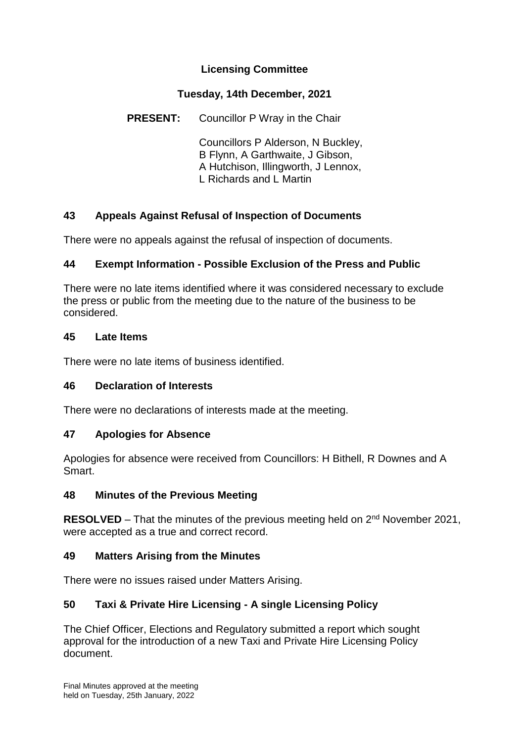# **Licensing Committee**

### **Tuesday, 14th December, 2021**

**PRESENT:** Councillor P Wray in the Chair

Councillors P Alderson, N Buckley, B Flynn, A Garthwaite, J Gibson, A Hutchison, Illingworth, J Lennox, L Richards and L Martin

## **43 Appeals Against Refusal of Inspection of Documents**

There were no appeals against the refusal of inspection of documents.

## **44 Exempt Information - Possible Exclusion of the Press and Public**

There were no late items identified where it was considered necessary to exclude the press or public from the meeting due to the nature of the business to be considered.

#### **45 Late Items**

There were no late items of business identified.

## **46 Declaration of Interests**

There were no declarations of interests made at the meeting.

#### **47 Apologies for Absence**

Apologies for absence were received from Councillors: H Bithell, R Downes and A Smart.

#### **48 Minutes of the Previous Meeting**

**RESOLVED** – That the minutes of the previous meeting held on 2<sup>nd</sup> November 2021, were accepted as a true and correct record.

#### **49 Matters Arising from the Minutes**

There were no issues raised under Matters Arising.

## **50 Taxi & Private Hire Licensing - A single Licensing Policy**

The Chief Officer, Elections and Regulatory submitted a report which sought approval for the introduction of a new Taxi and Private Hire Licensing Policy document.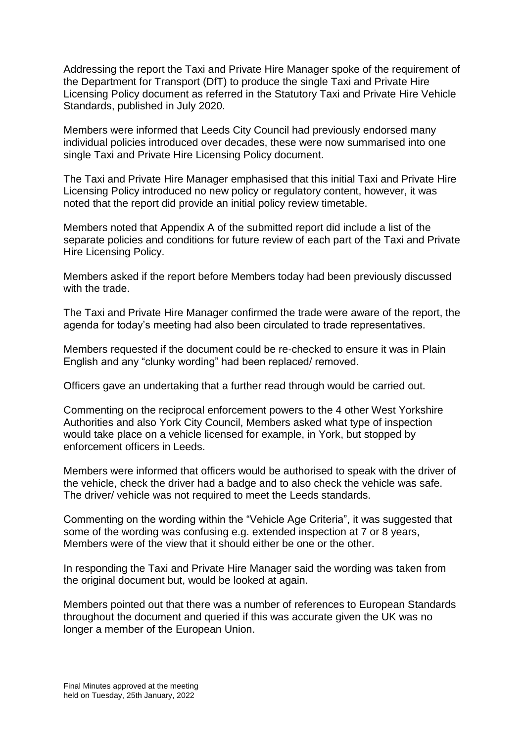Addressing the report the Taxi and Private Hire Manager spoke of the requirement of the Department for Transport (DfT) to produce the single Taxi and Private Hire Licensing Policy document as referred in the Statutory Taxi and Private Hire Vehicle Standards, published in July 2020.

Members were informed that Leeds City Council had previously endorsed many individual policies introduced over decades, these were now summarised into one single Taxi and Private Hire Licensing Policy document.

The Taxi and Private Hire Manager emphasised that this initial Taxi and Private Hire Licensing Policy introduced no new policy or regulatory content, however, it was noted that the report did provide an initial policy review timetable.

Members noted that Appendix A of the submitted report did include a list of the separate policies and conditions for future review of each part of the Taxi and Private Hire Licensing Policy.

Members asked if the report before Members today had been previously discussed with the trade.

The Taxi and Private Hire Manager confirmed the trade were aware of the report, the agenda for today's meeting had also been circulated to trade representatives.

Members requested if the document could be re-checked to ensure it was in Plain English and any "clunky wording" had been replaced/ removed.

Officers gave an undertaking that a further read through would be carried out.

Commenting on the reciprocal enforcement powers to the 4 other West Yorkshire Authorities and also York City Council, Members asked what type of inspection would take place on a vehicle licensed for example, in York, but stopped by enforcement officers in Leeds.

Members were informed that officers would be authorised to speak with the driver of the vehicle, check the driver had a badge and to also check the vehicle was safe. The driver/ vehicle was not required to meet the Leeds standards.

Commenting on the wording within the "Vehicle Age Criteria", it was suggested that some of the wording was confusing e.g. extended inspection at 7 or 8 years, Members were of the view that it should either be one or the other.

In responding the Taxi and Private Hire Manager said the wording was taken from the original document but, would be looked at again.

Members pointed out that there was a number of references to European Standards throughout the document and queried if this was accurate given the UK was no longer a member of the European Union.